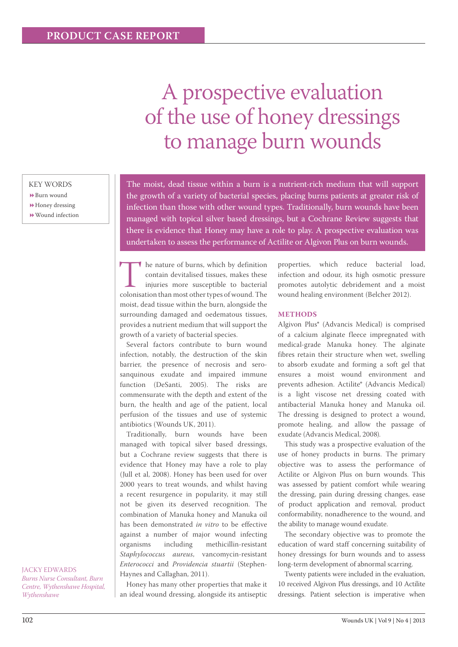# A prospective evaluation of the use of honey dressings to manage burn wounds

# KEY WORDS

- Burn wound
- Honey dressing
- Wound infection

The moist, dead tissue within a burn is a nutrient-rich medium that will support the growth of a variety of bacterial species, placing burns patients at greater risk of infection than those with other wound types. Traditionally, burn wounds have been managed with topical silver based dressings, but a Cochrane Review suggests that there is evidence that Honey may have a role to play. A prospective evaluation was undertaken to assess the performance of Actilite or Algivon Plus on burn wounds.

The nature of burns, which by definition contain devitalised tissues, makes these injuries more susceptible to bacterial colonisation than most other types of wound. The contain devitalised tissues, makes these injuries more susceptible to bacterial moist, dead tissue within the burn, alongside the surrounding damaged and oedematous tissues, provides a nutrient medium that will support the growth of a variety of bacterial species.

Several factors contribute to burn wound infection, notably, the destruction of the skin barrier, the presence of necrosis and serosanquinous exudate and impaired immune function (DeSanti, 2005). The risks are commensurate with the depth and extent of the burn, the health and age of the patient, local perfusion of the tissues and use of systemic antibiotics (Wounds UK, 2011).

Traditionally, burn wounds have been managed with topical silver based dressings, but a Cochrane review suggests that there is evidence that Honey may have a role to play (Jull et al, 2008). Honey has been used for over 2000 years to treat wounds, and whilst having a recent resurgence in popularity, it may still not be given its deserved recognition. The combination of Manuka honey and Manuka oil has been demonstrated *in vitro* to be effective against a number of major wound infecting organisms including methicillin-resistant *Staphylococcus aureus*, vancomycin-resistant *Enterococci* and *Providencia stuartii* (Stephen-Haynes and Callaghan, 2011).

Honey has many other properties that make it an ideal wound dressing, alongside its antiseptic properties, which reduce bacterial load, infection and odour, its high osmotic pressure promotes autolytic debridement and a moist wound healing environment (Belcher 2012).

### **Methods**

Algivon Plus® (Advancis Medical) is comprised of a calcium alginate fleece impregnated with medical-grade Manuka honey. The alginate fibres retain their structure when wet, swelling to absorb exudate and forming a soft gel that ensures a moist wound environment and prevents adhesion. Actilite® (Advancis Medical) is a light viscose net dressing coated with antibacterial Manuka honey and Manuka oil. The dressing is designed to protect a wound, promote healing, and allow the passage of exudate (Advancis Medical, 2008).

This study was a prospective evaluation of the use of honey products in burns. The primary objective was to assess the performance of Actilite or Algivon Plus on burn wounds. This was assessed by patient comfort while wearing the dressing, pain during dressing changes, ease of product application and removal, product conformability, nonadherence to the wound, and the ability to manage wound exudate.

The secondary objective was to promote the education of ward staff concerning suitability of honey dressings for burn wounds and to assess long-term development of abnormal scarring.

Twenty patients were included in the evaluation, 10 received Algivon Plus dressings, and 10 Actilite dressings. Patient selection is imperative when

JACKY EDWARDS *Burns Nurse Consultant, Burn Centre, Wythenshawe Hospital, Wythenshawe*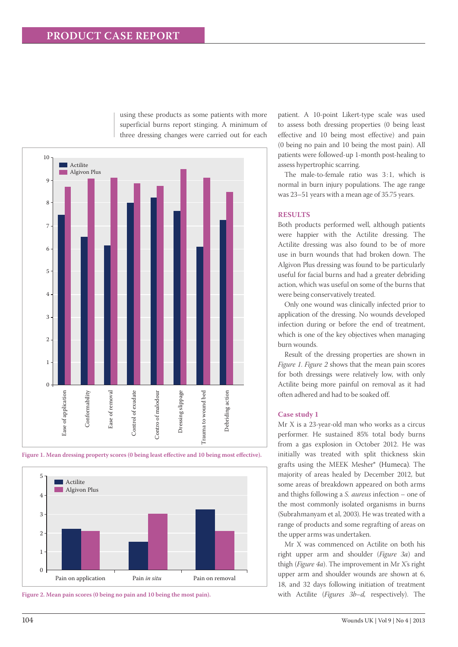

using these products as some patients with more superficial burns report stinging. A minimum of three dressing changes were carried out for each

**Figure 1. Mean dressing property scores (0 being least effective and 10 being most effective).**



**Figure 2. Mean pain scores (0 being no pain and 10 being the most pain).**

patient. A 10-point Likert-type scale was used to assess both dressing properties (0 being least effective and 10 being most effective) and pain (0 being no pain and 10 being the most pain). All patients were followed-up 1-month post-healing to assess hypertrophic scarring.

The male-to-female ratio was 3:1, which is normal in burn injury populations. The age range was 23–51 years with a mean age of 35.75 years.

# **Results**

Both products performed well, although patients were happier with the Actilite dressing. The Actilite dressing was also found to be of more use in burn wounds that had broken down. The Algivon Plus dressing was found to be particularly useful for facial burns and had a greater debriding action, which was useful on some of the burns that were being conservatively treated.

Only one wound was clinically infected prior to application of the dressing. No wounds developed infection during or before the end of treatment, which is one of the key objectives when managing burn wounds.

Result of the dressing properties are shown in *Figure 1*. *Figure 2* shows that the mean pain scores for both dressings were relatively low, with only Actilite being more painful on removal as it had often adhered and had to be soaked off.

#### **Case study 1**

Mr X is a 23-year-old man who works as a circus performer. He sustained 85% total body burns from a gas explosion in October 2012. He was initially was treated with split thickness skin grafts using the MEEK Mesher® (Humeca). The majority of areas healed by December 2012, but some areas of breakdown appeared on both arms and thighs following a *S. aureus* infection – one of the most commonly isolated organisms in burns (Subrahmanyam et al, 2003). He was treated with a range of products and some regrafting of areas on the upper arms was undertaken.

Mr X was commenced on Actilite on both his right upper arm and shoulder (*Figure 3a*) and thigh (*Figure 4a*). The improvement in Mr X's right upper arm and shoulder wounds are shown at 6, 18, and 32 days following initiation of treatment with Actilite (*Figures 3b–d,* respectively). The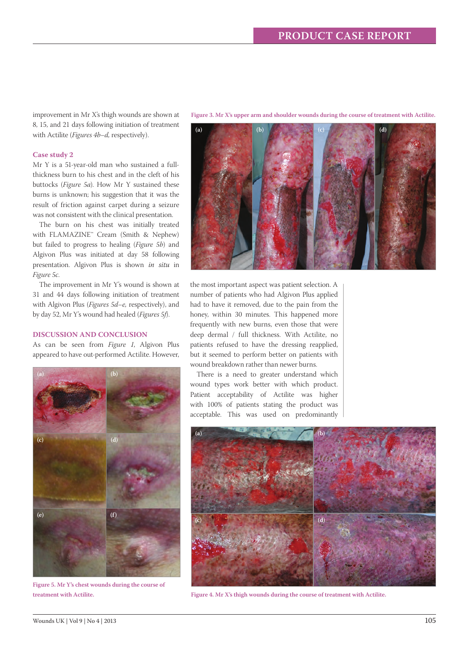improvement in Mr X's thigh wounds are shown at 8, 15, and 21 days following initiation of treatment with Actilite (*Figures 4b–d,* respectively).

#### **Case study 2**

Mr Y is a 51-year-old man who sustained a fullthickness burn to his chest and in the cleft of his buttocks (*Figure 5a*). How Mr Y sustained these burns is unknown; his suggestion that it was the result of friction against carpet during a seizure was not consistent with the clinical presentation.

The burn on his chest was initially treated with FLAMAZINE™ Cream (Smith & Nephew) but failed to progress to healing (*Figure 5b*) and Algivon Plus was initiated at day 58 following presentation. Algivon Plus is shown *in situ* in *Figure 5c*.

The improvement in Mr Y's wound is shown at 31 and 44 days following initiation of treatment with Algivon Plus (*Figures 5d–e,* respectively), and by day 52, Mr Y's wound had healed (*Figures 5f*).

#### **Discussion and conclusion**

As can be seen from *Figure 1*, Algivon Plus appeared to have out-performed Actilite. However,



**Figure 5. Mr Y's chest wounds during the course of treatment with Actilite.**

**Figure 3. Mr X's upper arm and shoulder wounds during the course of treatment with Actilite.**



the most important aspect was patient selection. A number of patients who had Algivon Plus applied had to have it removed, due to the pain from the honey, within 30 minutes. This happened more frequently with new burns, even those that were deep dermal / full thickness. With Actilite, no patients refused to have the dressing reapplied, but it seemed to perform better on patients with wound breakdown rather than newer burns.

There is a need to greater understand which wound types work better with which product. Patient acceptability of Actilite was higher with 100% of patients stating the product was acceptable. This was used on predominantly



**Figure 4. Mr X's thigh wounds during the course of treatment with Actilite.**